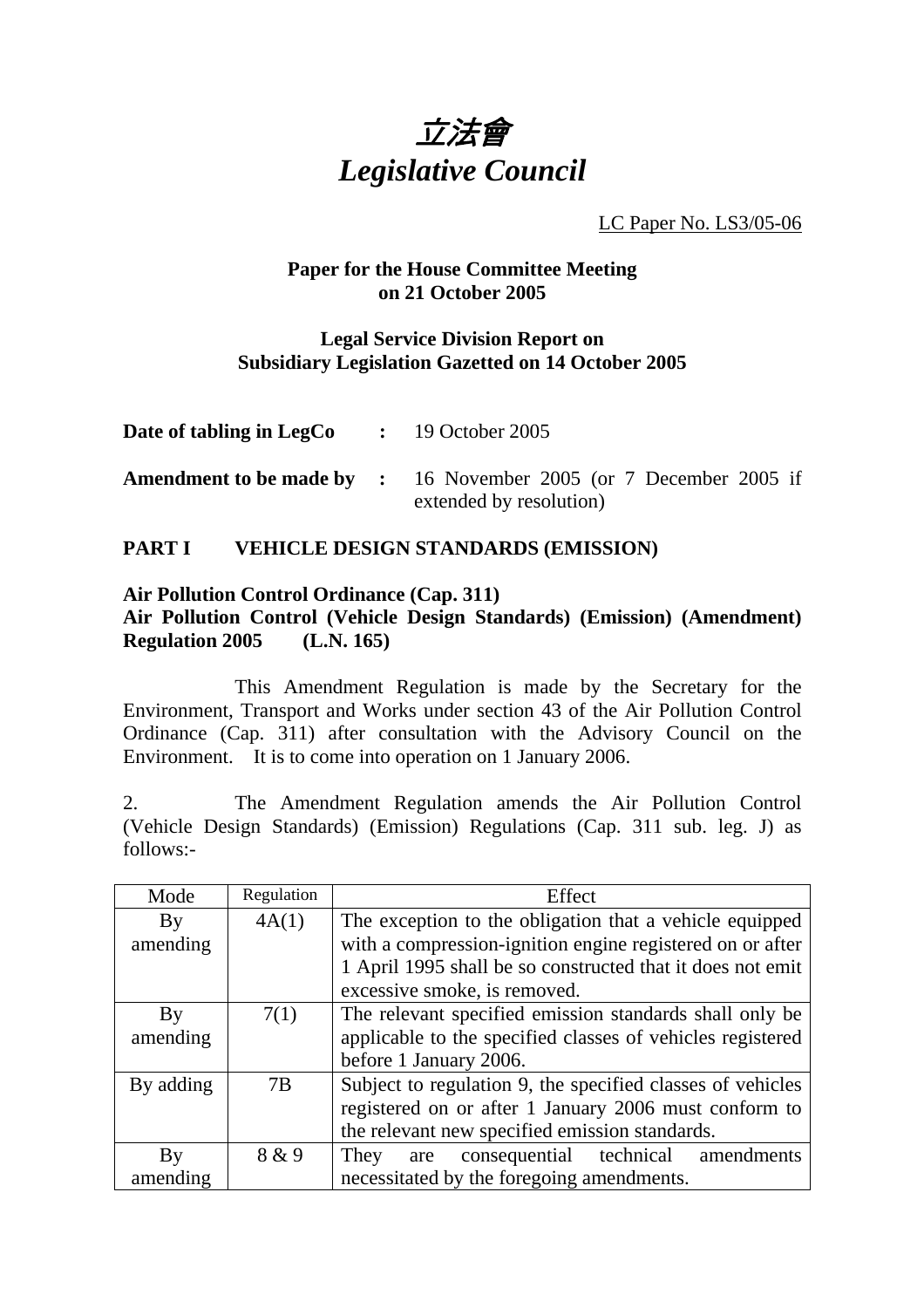

LC Paper No. LS3/05-06

## **Paper for the House Committee Meeting on 21 October 2005**

## **Legal Service Division Report on Subsidiary Legislation Gazetted on 14 October 2005**

| <b>Date of tabling in LegCo</b> : 19 October 2005 |                                                                                                     |
|---------------------------------------------------|-----------------------------------------------------------------------------------------------------|
|                                                   | <b>Amendment to be made by :</b> 16 November 2005 (or 7 December 2005 if<br>extended by resolution) |

# **PART I VEHICLE DESIGN STANDARDS (EMISSION)**

## **Air Pollution Control Ordinance (Cap. 311)**

## **Air Pollution Control (Vehicle Design Standards) (Emission) (Amendment) Regulation 2005 (L.N. 165)**

 This Amendment Regulation is made by the Secretary for the Environment, Transport and Works under section 43 of the Air Pollution Control Ordinance (Cap. 311) after consultation with the Advisory Council on the Environment. It is to come into operation on 1 January 2006.

2. The Amendment Regulation amends the Air Pollution Control (Vehicle Design Standards) (Emission) Regulations (Cap. 311 sub. leg. J) as follows:-

| Mode      | Regulation | Effect                                                     |
|-----------|------------|------------------------------------------------------------|
| By        | 4A(1)      | The exception to the obligation that a vehicle equipped    |
| amending  |            | with a compression-ignition engine registered on or after  |
|           |            | 1 April 1995 shall be so constructed that it does not emit |
|           |            | excessive smoke, is removed.                               |
| By        | 7(1)       | The relevant specified emission standards shall only be    |
| amending  |            | applicable to the specified classes of vehicles registered |
|           |            | before 1 January 2006.                                     |
| By adding | 7B         | Subject to regulation 9, the specified classes of vehicles |
|           |            | registered on or after 1 January 2006 must conform to      |
|           |            | the relevant new specified emission standards.             |
| By        | 8 & 9      | are consequential technical amendments<br>They             |
| amending  |            | necessitated by the foregoing amendments.                  |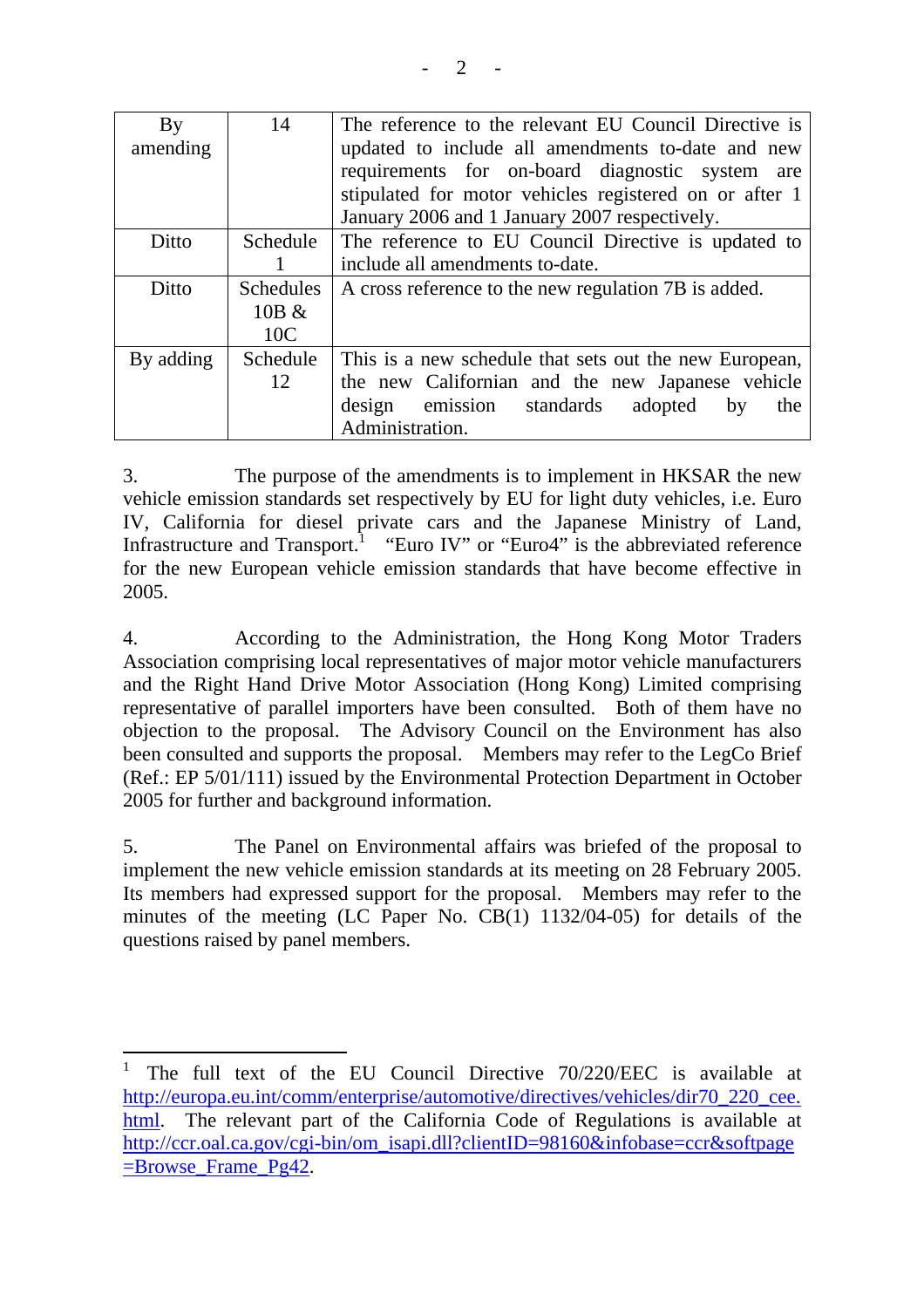| By<br>amending | 14                                  | The reference to the relevant EU Council Directive is<br>updated to include all amendments to-date and new<br>requirements for on-board diagnostic system are<br>stipulated for motor vehicles registered on or after 1<br>January 2006 and 1 January 2007 respectively. |
|----------------|-------------------------------------|--------------------------------------------------------------------------------------------------------------------------------------------------------------------------------------------------------------------------------------------------------------------------|
| Ditto          | Schedule                            | The reference to EU Council Directive is updated to                                                                                                                                                                                                                      |
|                |                                     | include all amendments to-date.                                                                                                                                                                                                                                          |
| Ditto          | <b>Schedules</b><br>$10B \&$<br>10C | A cross reference to the new regulation 7B is added.                                                                                                                                                                                                                     |
| By adding      | Schedule                            | This is a new schedule that sets out the new European,                                                                                                                                                                                                                   |
|                | 12                                  | the new Californian and the new Japanese vehicle                                                                                                                                                                                                                         |
|                |                                     | emission standards<br>adopted<br>design<br>by<br>the                                                                                                                                                                                                                     |
|                |                                     | Administration.                                                                                                                                                                                                                                                          |

3. The purpose of the amendments is to implement in HKSAR the new vehicle emission standards set respectively by EU for light duty vehicles, i.e. Euro IV, California for diesel private cars and the Japanese Ministry of Land, Infrastructure and Transport.<sup>1</sup> "Euro IV" or "Euro4" is the abbreviated reference for the new European vehicle emission standards that have become effective in 2005.

4. According to the Administration, the Hong Kong Motor Traders Association comprising local representatives of major motor vehicle manufacturers and the Right Hand Drive Motor Association (Hong Kong) Limited comprising representative of parallel importers have been consulted. Both of them have no objection to the proposal. The Advisory Council on the Environment has also been consulted and supports the proposal. Members may refer to the LegCo Brief (Ref.: EP 5/01/111) issued by the Environmental Protection Department in October 2005 for further and background information.

5. The Panel on Environmental affairs was briefed of the proposal to implement the new vehicle emission standards at its meeting on 28 February 2005. Its members had expressed support for the proposal. Members may refer to the minutes of the meeting (LC Paper No. CB(1) 1132/04-05) for details of the questions raised by panel members.

<sup>1</sup> The full text of the EU Council Directive 70/220/EEC is available at http://europa.eu.int/comm/enterprise/automotive/directives/vehicles/dir70\_220\_cee. html. The relevant part of the California Code of Regulations is available at http://ccr.oal.ca.gov/cgi-bin/om\_isapi.dll?clientID=98160&infobase=ccr&softpage  $=$ Browse Frame Pg42.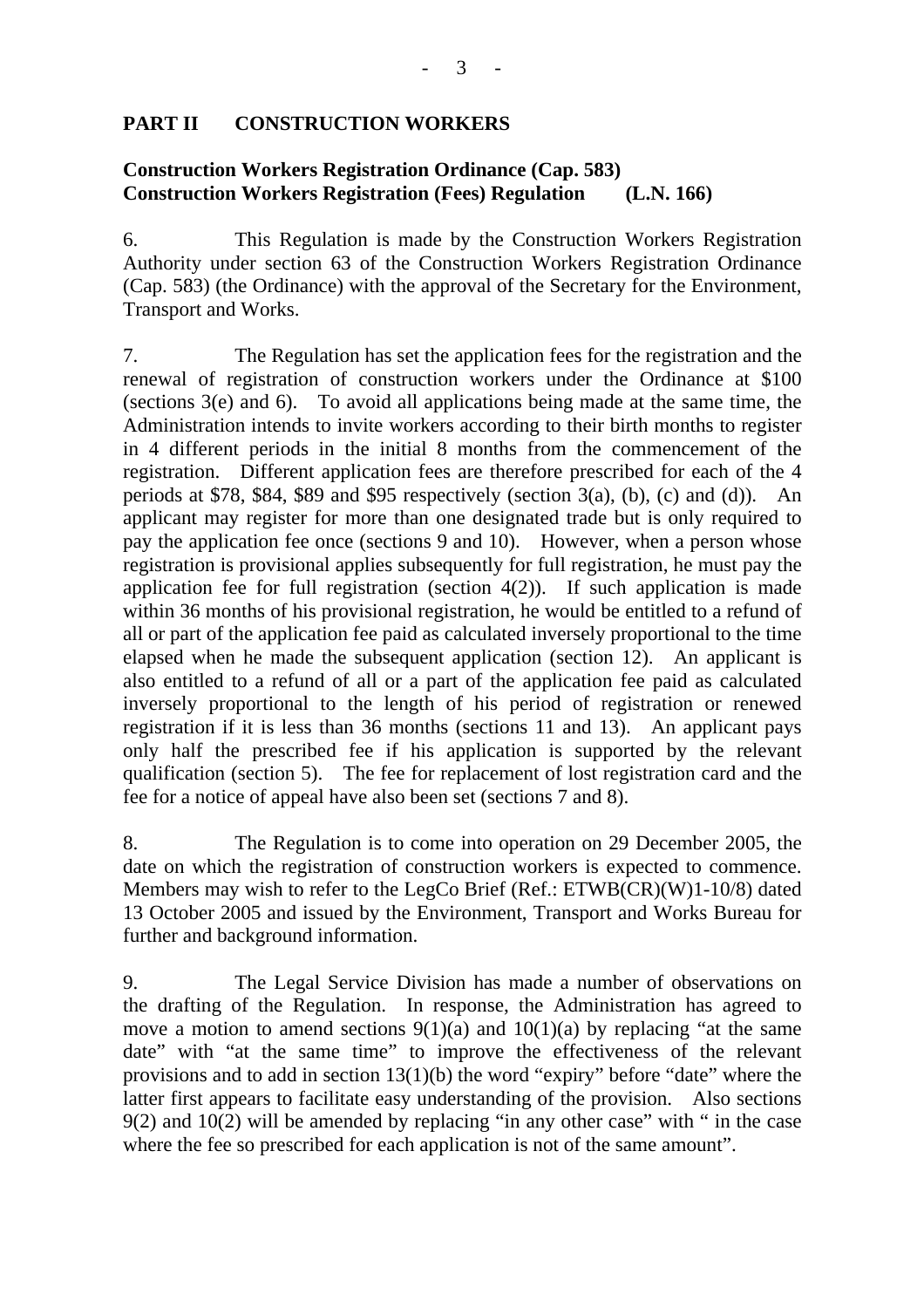# **PART II CONSTRUCTION WORKERS**

## **Construction Workers Registration Ordinance (Cap. 583) Construction Workers Registration (Fees) Regulation (L.N. 166)**

6. This Regulation is made by the Construction Workers Registration Authority under section 63 of the Construction Workers Registration Ordinance (Cap. 583) (the Ordinance) with the approval of the Secretary for the Environment, Transport and Works.

7. The Regulation has set the application fees for the registration and the renewal of registration of construction workers under the Ordinance at \$100 (sections 3(e) and 6). To avoid all applications being made at the same time, the Administration intends to invite workers according to their birth months to register in 4 different periods in the initial 8 months from the commencement of the registration. Different application fees are therefore prescribed for each of the 4 periods at \$78, \$84, \$89 and \$95 respectively (section  $3(a)$ , (b), (c) and (d)). An applicant may register for more than one designated trade but is only required to pay the application fee once (sections 9 and 10). However, when a person whose registration is provisional applies subsequently for full registration, he must pay the application fee for full registration (section 4(2)). If such application is made within 36 months of his provisional registration, he would be entitled to a refund of all or part of the application fee paid as calculated inversely proportional to the time elapsed when he made the subsequent application (section 12). An applicant is also entitled to a refund of all or a part of the application fee paid as calculated inversely proportional to the length of his period of registration or renewed registration if it is less than 36 months (sections 11 and 13). An applicant pays only half the prescribed fee if his application is supported by the relevant qualification (section 5). The fee for replacement of lost registration card and the fee for a notice of appeal have also been set (sections 7 and 8).

8. The Regulation is to come into operation on 29 December 2005, the date on which the registration of construction workers is expected to commence. Members may wish to refer to the LegCo Brief (Ref.: ETWB(CR)(W)1-10/8) dated 13 October 2005 and issued by the Environment, Transport and Works Bureau for further and background information.

9. The Legal Service Division has made a number of observations on the drafting of the Regulation. In response, the Administration has agreed to move a motion to amend sections  $9(1)(a)$  and  $10(1)(a)$  by replacing "at the same date" with "at the same time" to improve the effectiveness of the relevant provisions and to add in section  $13(1)(b)$  the word "expiry" before "date" where the latter first appears to facilitate easy understanding of the provision. Also sections 9(2) and 10(2) will be amended by replacing "in any other case" with " in the case where the fee so prescribed for each application is not of the same amount".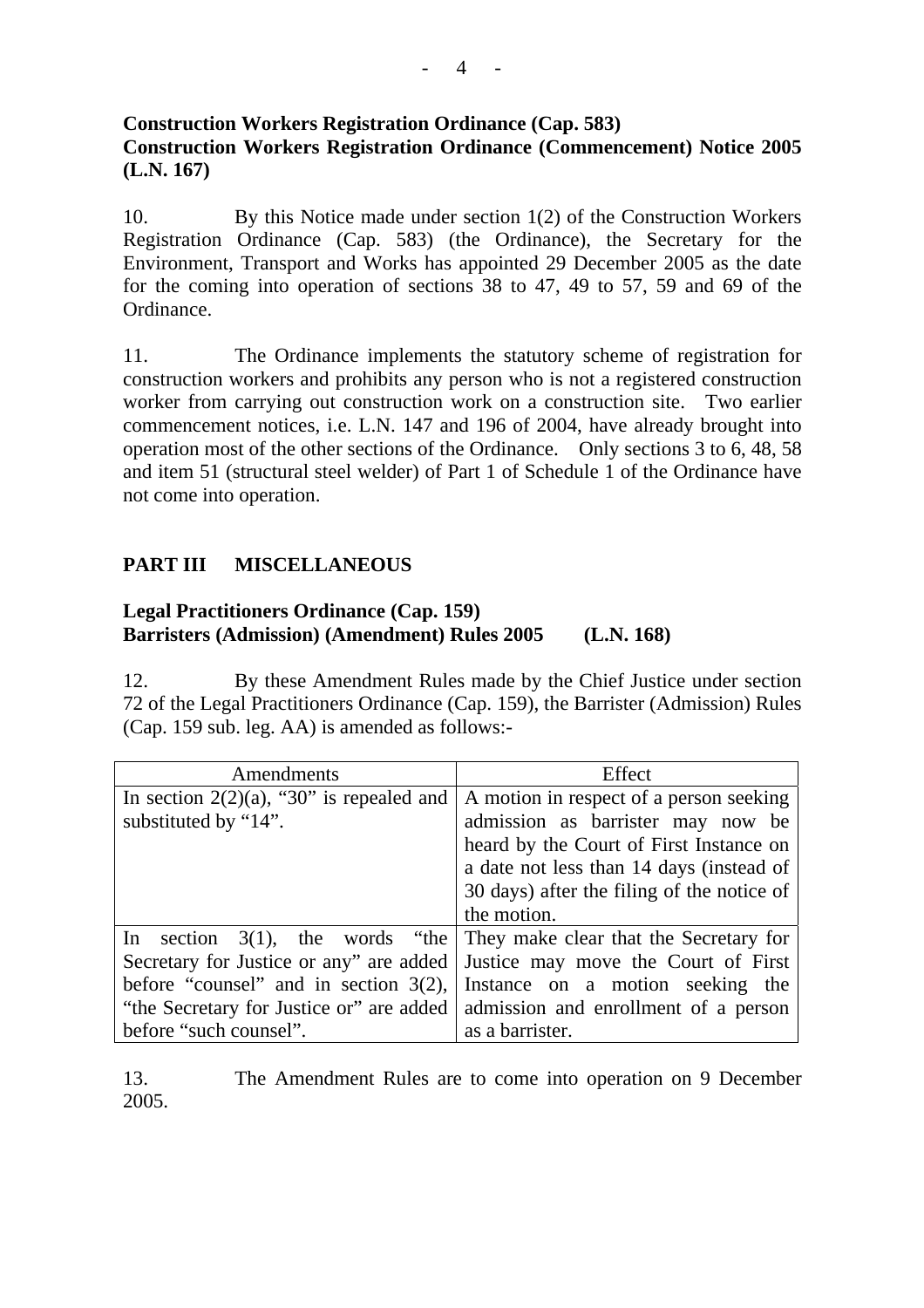# **Construction Workers Registration Ordinance (Cap. 583) Construction Workers Registration Ordinance (Commencement) Notice 2005 (L.N. 167)**

10. By this Notice made under section 1(2) of the Construction Workers Registration Ordinance (Cap. 583) (the Ordinance), the Secretary for the Environment, Transport and Works has appointed 29 December 2005 as the date for the coming into operation of sections 38 to 47, 49 to 57, 59 and 69 of the Ordinance.

11. The Ordinance implements the statutory scheme of registration for construction workers and prohibits any person who is not a registered construction worker from carrying out construction work on a construction site. Two earlier commencement notices, i.e. L.N. 147 and 196 of 2004, have already brought into operation most of the other sections of the Ordinance. Only sections 3 to 6, 48, 58 and item 51 (structural steel welder) of Part 1 of Schedule 1 of the Ordinance have not come into operation.

# **PART III MISCELLANEOUS**

# **Legal Practitioners Ordinance (Cap. 159) Barristers (Admission) (Amendment) Rules 2005 (L.N. 168)**

12. By these Amendment Rules made by the Chief Justice under section 72 of the Legal Practitioners Ordinance (Cap. 159), the Barrister (Admission) Rules (Cap. 159 sub. leg. AA) is amended as follows:-

| Amendments                                  | Effect                                     |
|---------------------------------------------|--------------------------------------------|
| In section $2(2)(a)$ , "30" is repealed and | A motion in respect of a person seeking    |
| substituted by "14".                        | admission as barrister may now be          |
|                                             | heard by the Court of First Instance on    |
|                                             | a date not less than 14 days (instead of   |
|                                             | 30 days) after the filing of the notice of |
|                                             | the motion.                                |
| In<br>section $3(1)$ , the words "the       | They make clear that the Secretary for     |
| Secretary for Justice or any" are added     | Justice may move the Court of First        |
| before "counsel" and in section $3(2)$ ,    | Instance on a motion seeking the           |
| "the Secretary for Justice or" are added    | admission and enrollment of a person       |
| before "such counsel".                      | as a barrister.                            |

13. The Amendment Rules are to come into operation on 9 December 2005.